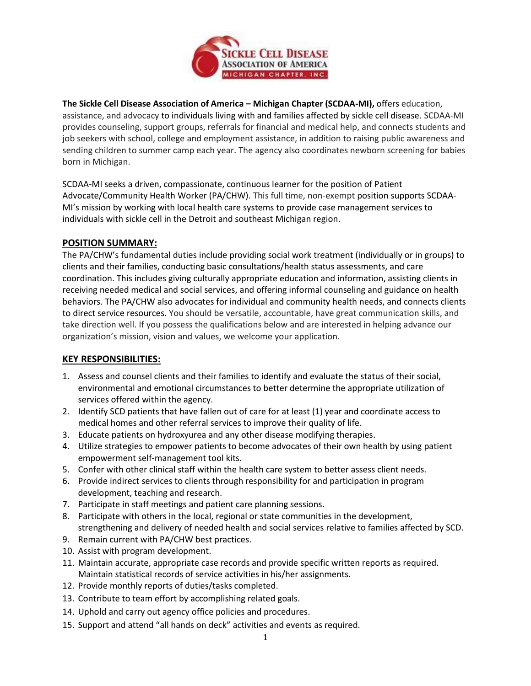

**The Sickle Cell Disease Association of America – Michigan Chapter (SCDAA-MI),** offers education, assistance, and advocacy to individuals living with and families affected by sickle cell disease. SCDAA-MI provides counseling, support groups, referrals for financial and medical help, and connects students and job seekers with school, college and employment assistance, in addition to raising public awareness and sending children to summer camp each year. The agency also coordinates newborn screening for babies born in Michigan.

SCDAA-MI seeks a driven, compassionate, continuous learner for the position of Patient Advocate/Community Health Worker (PA/CHW). This full time, non-exempt position supports SCDAA-MI's mission by working with local health care systems to provide case management services to individuals with sickle cell in the Detroit and southeast Michigan region.

## **POSITION SUMMARY:**

The PA/CHW's fundamental duties include providing social work treatment (individually or in groups) to clients and their families, conducting basic consultations/health status assessments, and care coordination. This includes giving culturally appropriate education and information, assisting clients in receiving needed medical and social services, and offering informal counseling and guidance on health behaviors. The PA/CHW also advocates for individual and community health needs, and connects clients to direct service resources. You should be versatile, accountable, have great communication skills, and take direction well. If you possess the qualifications below and are interested in helping advance our organization's mission, vision and values, we welcome your application.

# **KEY RESPONSIBILITIES:**

- 1. Assess and counsel clients and their families to identify and evaluate the status of their social, environmental and emotional circumstances to better determine the appropriate utilization of services offered within the agency.
- 2. Identify SCD patients that have fallen out of care for at least (1) year and coordinate access to medical homes and other referral services to improve their quality of life.
- 3. Educate patients on hydroxyurea and any other disease modifying therapies.
- 4. Utilize strategies to empower patients to become advocates of their own health by using patient empowerment self-management tool kits*.*
- 5. Confer with other clinical staff within the health care system to better assess client needs.
- 6. Provide indirect services to clients through responsibility for and participation in program development, teaching and research.
- 7. Participate in staff meetings and patient care planning sessions.
- 8. Participate with others in the local, regional or state communities in the development, strengthening and delivery of needed health and social services relative to families affected by SCD.
- 9. Remain current with PA/CHW best practices.
- 10. Assist with program development.
- 11. Maintain accurate, appropriate case records and provide specific written reports as required. Maintain statistical records of service activities in his/her assignments.
- 12. Provide monthly reports of duties/tasks completed.
- 13. Contribute to team effort by accomplishing related goals.
- 14. Uphold and carry out agency office policies and procedures.
- 15. Support and attend "all hands on deck" activities and events as required.